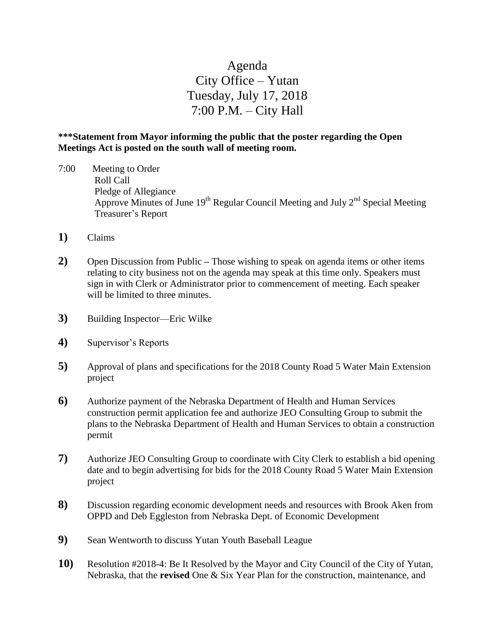## Agenda City Office – Yutan Tuesday, July 17, 2018 7:00 P.M. – City Hall

## **\*\*\*Statement from Mayor informing the public that the poster regarding the Open Meetings Act is posted on the south wall of meeting room.**

- 7:00 Meeting to Order Roll Call Pledge of Allegiance Approve Minutes of June  $19<sup>th</sup>$  Regular Council Meeting and July  $2<sup>nd</sup>$  Special Meeting Treasurer's Report
- **1)** Claims
- **2)** Open Discussion from Public **–** Those wishing to speak on agenda items or other items relating to city business not on the agenda may speak at this time only. Speakers must sign in with Clerk or Administrator prior to commencement of meeting. Each speaker will be limited to three minutes.
- **3)** Building Inspector—Eric Wilke
- **4)** Supervisor's Reports
- **5)** Approval of plans and specifications for the 2018 County Road 5 Water Main Extension project
- **6)** Authorize payment of the Nebraska Department of Health and Human Services construction permit application fee and authorize JEO Consulting Group to submit the plans to the Nebraska Department of Health and Human Services to obtain a construction permit
- **7)** Authorize JEO Consulting Group to coordinate with City Clerk to establish a bid opening date and to begin advertising for bids for the 2018 County Road 5 Water Main Extension project
- **8)** Discussion regarding economic development needs and resources with Brook Aken from OPPD and Deb Eggleston from Nebraska Dept. of Economic Development
- **9)** Sean Wentworth to discuss Yutan Youth Baseball League
- **10)** Resolution #2018-4: Be It Resolved by the Mayor and City Council of the City of Yutan, Nebraska, that the **revised** One & Six Year Plan for the construction, maintenance, and